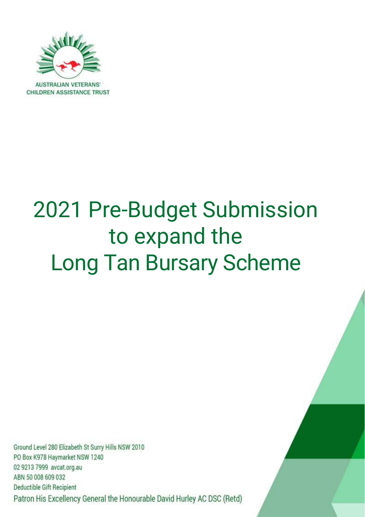

# 2021 Pre-Budget Submission to expand the Long Tan Bursary Scheme

Ground Level 280 Elizabeth St Surry Hills NSW 2010 PO Box K978 Haymarket NSW 1240 02 9213 7999 avcat.org.au ABN 50 008 609 032 Deductible Gift Recipient Patron His Excellency General the Honourable David Hurley AC DSC (Retd)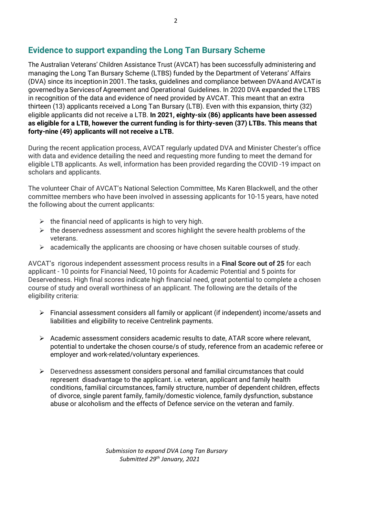# **Evidence to support expanding the Long Tan Bursary Scheme**

The Australian Veterans' Children Assistance Trust (AVCAT) has been successfully administering and managing the Long Tan Bursary Scheme (LTBS) funded by the Department of Veterans' Affairs (DVA) since its inceptionin 2001.The tasks, guidelines and compliance between DVAand AVCATis governedbya Servicesof Agreement and Operational Guidelines. In 2020 DVA expanded the LTBS in recognition of the data and evidence of need provided by AVCAT. This meant that an extra thirteen (13) applicants received a Long Tan Bursary (LTB). Even with this expansion, thirty (32) eligible applicants did not receive a LTB. **In 2021, eighty-six (86) applicants have been assessed as eligible for a LTB, however the current funding is for thirty-seven (37) LTBs. This means that forty-nine (49) applicants will not receive a LTB.**

During the recent application process, AVCAT regularly updated DVA and Minister Chester's office with data and evidence detailing the need and requesting more funding to meet the demand for eligible LTB applicants. As well, information has been provided regarding the COVID -19 impact on scholars and applicants.

The volunteer Chair of AVCAT's National Selection Committee, Ms Karen Blackwell, and the other committee members who have been involved in assessing applicants for 10-15 years, have noted the following about the current applicants:

- $\triangleright$  the financial need of applicants is high to very high.
- $\triangleright$  the deservedness assessment and scores highlight the severe health problems of the veterans.
- $\triangleright$  academically the applicants are choosing or have chosen suitable courses of study.

AVCAT's rigorous independent assessment process results in a **Final Score out of 25** for each applicant - 10 points for Financial Need, 10 points for Academic Potential and 5 points for Deservedness. High final scores indicate high financial need, great potential to complete a chosen course of study and overall worthiness of an applicant. The following are the details of the eligibility criteria:

- ➢ Financial assessment considers all family or applicant (if independent) income/assets and liabilities and eligibility to receive Centrelink payments.
- ➢ Academic assessment considers academic results to date, ATAR score where relevant, potential to undertake the chosen course/s of study, reference from an academic referee or employer and work-related/voluntary experiences.
- $\triangleright$  Deservedness assessment considers personal and familial circumstances that could represent disadvantage to the applicant. i.e. veteran, applicant and family health conditions, familial circumstances, family structure, number of dependent children, effects of divorce, single parent family, family/domestic violence, family dysfunction, substance abuse or alcoholism and the effects of Defence service on the veteran and family.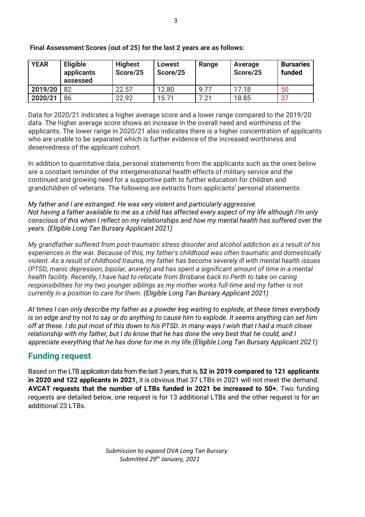| <b>YEAR</b> | <b>Eligible</b><br>applicants<br>assessed | <b>Highest</b><br>Score/25 | <b>Lowest</b><br>Score/25 | Range | Average<br>Score/25 | <b>Bursaries</b><br>funded |
|-------------|-------------------------------------------|----------------------------|---------------------------|-------|---------------------|----------------------------|
| 2019/20     | 82                                        | 22.57                      | 12.80                     | 9.77  | 17.18               | 50                         |
| 2020/21     | 86                                        | 22.92                      | 15.71                     | 7.21  | 18.85               | 37                         |

#### **Final Assessment Scores (out of 25) for the last 2 years are as follows:**

Data for 2020/21 indicates a higher average score and a lower range compared to the 2019/20 data. The higher average score shows an increase in the overall need and worthiness of the applicants. The lower range in 2020/21 also indicates there is a higher concentration of applicants who are unable to be separated which is further evidence of the increased worthiness and deservedness of the applicant cohort.

In addition to quantitative data, personal statements from the applicants such as the ones below are a constant reminder of the intergenerational health effects of military service and the continued and growing need for a supportive path to further education for children and grandchildren of veterans. The following are extracts from applicants' personal statements:

*My father and I are estranged. He was very violent and particularly aggressive. Not having a father available to me as a child has affected every aspect of my life although I'm only conscious of this when I reflect on my relationships and how my mental health has suffered over the years. (Eligible Long Tan Bursary Applicant 2021)*

*My grandfather suffered from post-traumatic stress disorder and alcohol addiction as a result of his experiences in the war. Because of this, my father's childhood was often traumatic and domestically violent. As a result of childhood trauma, my father has become severely ill with mental health issues (PTSD, manic depression, bipolar, anxiety) and has spent a significant amount of time in a mental health facility. Recently, I have had to relocate from Brisbane back to Perth to take on caring responsibilities for my two younger siblings as my mother works full-time and my father is not currently in a position to care for them. (Eligible Long Tan Bursary Applicant 2021)*

*At times I can only describe my father as a powder keg waiting to explode, at these times everybody is on edge and try not to say or do anything to cause him to explode. It seems anything can set him off at these. I do put most of this down to his PTSD. In many ways I wish that I had a much closer relationship with my father, but I do know that he has done the very best that he could, and I appreciate everything that he has done for me in my life.(Eligible Long Tan Bursary Applicant 2021)*

# **Funding request**

Based on the LTB application data from the last 3 years, that is, **52 in 2019 compared to 121 applicants in 2020 and 122 applicants in 2021,** it is obvious that 37 LTBs in 2021 will not meet the demand. **AVCAT requests that the number of LTBs funded in 2021 be increased to 50+.** Two funding requests are detailed below, one request is for 13 additional LTBs and the other request is for an additional 23 LTBs.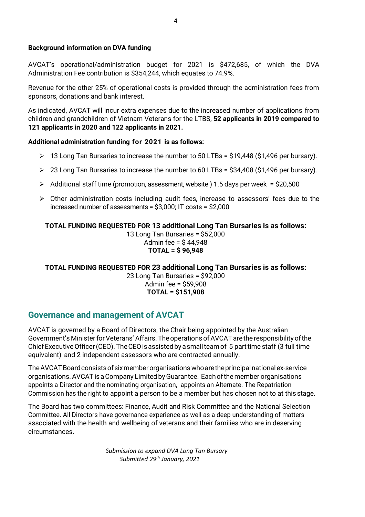#### **Background information on DVA funding**

AVCAT's operational/administration budget for 2021 is \$472,685, of which the DVA Administration Fee contribution is \$354,244, which equates to 74.9%.

Revenue for the other 25% of operational costs is provided through the administration fees from sponsors, donations and bank interest.

As indicated, AVCAT will incur extra expenses due to the increased number of applications from children and grandchildren of Vietnam Veterans for the LTBS, **52 applicants in 2019 compared to 121 applicants in 2020 and 122 applicants in 2021.**

#### **Additional administration funding for 2021 is as follows:**

- ➢ 13 Long Tan Bursaries to increase the number to 50 LTBs = \$19,448 (\$1,496 per bursary).
- $\geq 23$  Long Tan Bursaries to increase the number to 60 LTBs = \$34,408 (\$1,496 per bursary).
- $\triangleright$  Additional staff time (promotion, assessment, website) 1.5 days per week = \$20,500
- ➢ Other administration costs including audit fees, increase to assessors' fees due to the increased number of assessments = \$3,000; IT costs = \$2,000

# **TOTAL FUNDING REQUESTED FOR 13 additional Long Tan Bursaries is as follows:**

13 Long Tan Bursaries = \$52,000 Admin fee = \$ 44,948 **TOTAL = \$ 96,948**

## **TOTAL FUNDING REQUESTED FOR 23 additional Long Tan Bursaries is as follows:**

23 Long Tan Bursaries = \$92,000 Admin fee = \$59,908 **TOTAL = \$151,908**

# **Governance and management of AVCAT**

AVCAT is governed by a Board of Directors, the Chair being appointed by the Australian Government's Minister for Veterans' Affairs. The operations of AVCAT are the responsibility of the ChiefExecutiveOfficer(CEO).TheCEOisassistedbyasmallteam of 5 parttime staff (3 full time equivalent) and 2 independent assessors who are contracted annually.

TheAVCATBoardconsistsofsixmemberorganisationswhoaretheprincipalnationalex-service organisations.AVCAT isaCompany Limited byGuarantee. Eachofthemember organisations appoints a Director and the nominating organisation, appoints an Alternate. The Repatriation Commission has the right to appoint a person to be a member but has chosen not to at this stage.

The Board has two committees: Finance, Audit and Risk Committee and the National Selection Committee. All Directors have governance experience as well as a deep understanding of matters associated with the health and wellbeing of veterans and their families who are in deserving circumstances.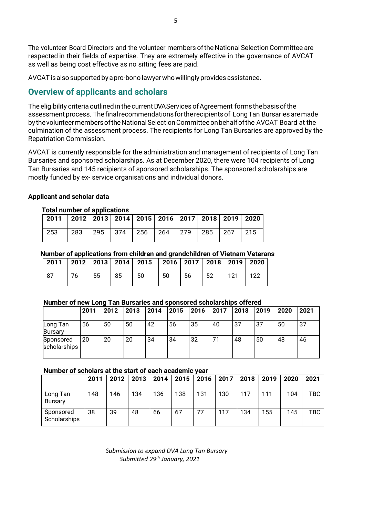The volunteer Board Directors and the volunteer members of the National Selection Committee are respected in their fields of expertise. They are extremely effective in the governance of AVCAT as well as being cost effective as no sitting fees are paid.

AVCATisalsosupportedbyapro-bono lawyerwhowillingly provides assistance.

# **Overview of applicants and scholars**

The eligibility criteria outlined in the current DVA Services of Agreement forms the basis of the assessment process. The final recommendations for the recipients of Long Tan Bursaries are made by thevolunteermembersoftheNationalSelectionCommitteeonbehalfofthe AVCAT Board at the culmination of the assessment process. The recipients for Long Tan Bursaries are approved by the Repatriation Commission.

AVCAT is currently responsible for the administration and management of recipients of Long Tan Bursaries and sponsored scholarships. As at December 2020, there were 104 recipients of Long Tan Bursaries and 145 recipients of sponsored scholarships. The sponsored scholarships are mostly funded by ex- service organisations and individual donors.

## **Applicant and scholar data**

#### **Total number of applications**

| 2011   2012   2013   2014   2015   2016   2017   2018   2019   2020 |  |  |  |  |  |
|---------------------------------------------------------------------|--|--|--|--|--|
| 253   283   295   374   256   264   279   285   267   215           |  |  |  |  |  |

#### **Number of applications from children and grandchildren of Vietnam Veterans**

|    |    |    |    | 2011   2012   2013   2014   2015   2016   2017   2018   2019   2020 |    |    |    |      |     |
|----|----|----|----|---------------------------------------------------------------------|----|----|----|------|-----|
| 87 | 76 | 55 | 85 | -50                                                                 | 50 | 56 | 52 | 1121 | 122 |

#### **Number of new Long Tan Bursaries and sponsored scholarships offered**

|                            | 2011 | 2012 | 2013 | 2014 | 2015 | 2016 | 2017 | 2018 | 2019 | 2020 | 2021 |
|----------------------------|------|------|------|------|------|------|------|------|------|------|------|
| Long Tan<br><b>Bursary</b> | 56   | 50   | 50   | 42   | 56   | 35   | 40   | 37   | 37   | 50   | 37   |
| Sponsored<br>scholarships  | 20   | 20   | 20   | 34   | 34   | 32   | 71   | 48   | 50   | 48   | 46   |

#### **Number of scholars at the start of each academic year**

|                           | 2011 | 2012 | 2013 | 2014 | 2015 | 2016 | 2017 | 2018 | 2019 | 2020 | 2021       |
|---------------------------|------|------|------|------|------|------|------|------|------|------|------------|
| Long Tan<br>Bursary       | 148  | 146  | 134  | 136  | 138  | 131  | 130  | 117  | 111  | 104  | TBC        |
| Sponsored<br>Scholarships | 38   | 39   | 48   | 66   | 67   | 77   | 117  | 134  | 155  | 145  | <b>TBC</b> |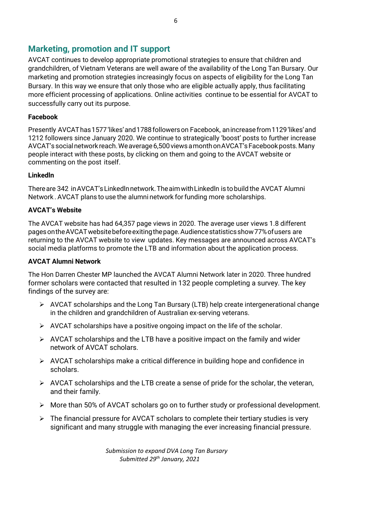# **Marketing, promotion and IT support**

AVCAT continues to develop appropriate promotional strategies to ensure that children and grandchildren, of Vietnam Veterans are well aware of the availability of the Long Tan Bursary. Our marketing and promotion strategies increasingly focus on aspects of eligibility for the Long Tan Bursary. In this way we ensure that only those who are eligible actually apply, thus facilitating more efficient processing of applications. Online activities continue to be essential for AVCAT to successfully carry out its purpose.

## **Facebook**

Presently AVCAThas1577'likes'and1788followerson Facebook, anincreasefrom1129'likes'and 1212 followers since January 2020. We continue to strategically 'boost' posts to further increase AVCAT's social network reach. We average 6,500 views a month on AVCAT's Facebook posts. Many people interact with these posts, by clicking on them and going to the AVCAT website or commenting on the post itself.

## **Linkedln**

Thereare 342 inAVCAT'sLinkedlnnetwork.TheaimwithLinkedln is tobuild the AVCAT Alumni Network . AVCAT plans to use the alumni network for funding more scholarships.

## **AVCAT's Website**

The AVCAT website has had 64,357 page views in 2020. The average user views 1.8 different pagesontheAVCATwebsitebeforeexitingthepage.Audiencestatisticsshow77%ofusers are returning to the AVCAT website to view updates. Key messages are announced across AVCAT's social media platforms to promote the LTB and information about the application process.

## **AVCAT Alumni Network**

The Hon Darren Chester MP launched the AVCAT Alumni Network later in 2020. Three hundred former scholars were contacted that resulted in 132 people completing a survey. The key findings of the survey are:

- $\triangleright$  AVCAT scholarships and the Long Tan Bursary (LTB) help create intergenerational change in the children and grandchildren of Australian ex-serving veterans.
- $\triangleright$  AVCAT scholarships have a positive ongoing impact on the life of the scholar.
- ➢ AVCAT scholarships and the LTB have a positive impact on the family and wider network of AVCAT scholars.
- $\triangleright$  AVCAT scholarships make a critical difference in building hope and confidence in scholars.
- $\triangleright$  AVCAT scholarships and the LTB create a sense of pride for the scholar, the veteran, and their family.
- ➢ More than 50% of AVCAT scholars go on to further study or professional development.
- $\triangleright$  The financial pressure for AVCAT scholars to complete their tertiary studies is very significant and many struggle with managing the ever increasing financial pressure.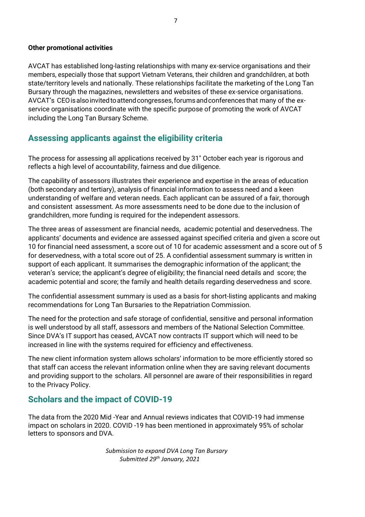#### **Other promotional activities**

AVCAT has established long-lasting relationships with many ex-service organisations and their members, especially those that support Vietnam Veterans, their children and grandchildren, at both state/territory levels and nationally. These relationships facilitate the marketing of the Long Tan Bursary through the magazines, newsletters and websites of these ex-service organisations. AVCAT's CEOisalsoinvitedtoattendcongresses,forumsandconferences that many of the exservice organisations coordinate with the specific purpose of promoting the work of AVCAT including the Long Tan Bursary Scheme.

# **Assessing applicants against the eligibility criteria**

The process for assessing all applications received by 31" October each year is rigorous and reflects a high level of accountability, fairness and due diligence.

The capability of assessors illustrates their experience and expertise in the areas of education (both secondary and tertiary), analysis of financial information to assess need and a keen understanding of welfare and veteran needs. Each applicant can be assured of a fair, thorough and consistent assessment. As more assessments need to be done due to the inclusion of grandchildren, more funding is required for the independent assessors.

The three areas of assessment are financial needs, academic potential and deservedness. The applicants' documents and evidence are assessed against specified criteria and given a score out 10 for financial need assessment, a score out of 10 for academic assessment and a score out of 5 for deservedness, with a total score out of 25. A confidential assessment summary is written in support of each applicant. It summarises the demographic information of the applicant; the veteran's service; the applicant's degree of eligibility; the financial need details and score; the academic potential and score; the family and health details regarding deservedness and score.

The confidential assessment summary is used as a basis for short-listing applicants and making recommendations for Long Tan Bursaries to the Repatriation Commission.

The need for the protection and safe storage of confidential, sensitive and personal information is well understood by all staff, assessors and members of the National Selection Committee. Since DVA's IT support has ceased, AVCAT now contracts IT support which will need to be increased in line with the systems required for efficiency and effectiveness.

The new client information system allows scholars' information to be more efficiently stored so that staff can access the relevant information online when they are saving relevant documents and providing support to the scholars. All personnel are aware of their responsibilities in regard to the Privacy Policy.

# **Scholars and the impact of COVID-19**

The data from the 2020 Mid -Year and Annual reviews indicates that COVID-19 had immense impact on scholars in 2020. COVID -19 has been mentioned in approximately 95% of scholar letters to sponsors and DVA.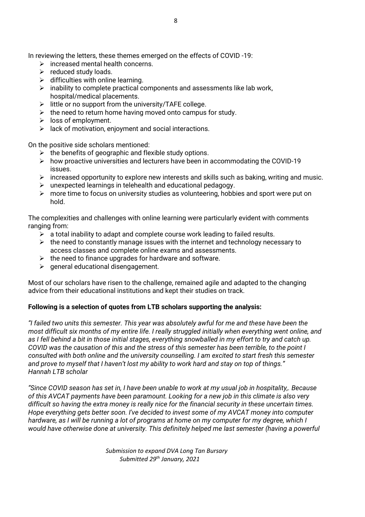In reviewing the letters, these themes emerged on the effects of COVID -19:

- $\triangleright$  increased mental health concerns.
- ➢ reduced study loads.
- $\triangleright$  difficulties with online learning.
- ➢ inability to complete practical components and assessments like lab work, hospital/medical placements.
- $\triangleright$  little or no support from the university/TAFE college.
- $\triangleright$  the need to return home having moved onto campus for study.
- ➢ loss of employment.
- $\triangleright$  lack of motivation, enjoyment and social interactions.

On the positive side scholars mentioned:

- $\triangleright$  the benefits of geographic and flexible study options.
- $\triangleright$  how proactive universities and lecturers have been in accommodating the COVID-19 issues.
- $\triangleright$  increased opportunity to explore new interests and skills such as baking, writing and music.
- $\triangleright$  unexpected learnings in telehealth and educational pedagogy.
- $\triangleright$  more time to focus on university studies as volunteering, hobbies and sport were put on hold.

The complexities and challenges with online learning were particularly evident with comments ranging from:

- $\triangleright$  a total inability to adapt and complete course work leading to failed results.
- $\triangleright$  the need to constantly manage issues with the internet and technology necessary to access classes and complete online exams and assessments.
- $\triangleright$  the need to finance upgrades for hardware and software.
- $\triangleright$  general educational disengagement.

Most of our scholars have risen to the challenge, remained agile and adapted to the changing advice from their educational institutions and kept their studies on track.

## **Following is a selection of quotes from LTB scholars supporting the analysis:**

*"I failed two units this semester. This year was absolutely awful for me and these have been the most difficult six months of my entire life. I really struggled initially when everything went online, and as I fell behind a bit in those initial stages, everything snowballed in my effort to try and catch up. COVID was the causation of this and the stress of this semester has been terrible, to the point I consulted with both online and the university counselling. I am excited to start fresh this semester and prove to myself that I haven't lost my ability to work hard and stay on top of things." Hannah LTB scholar*

*"Since COVID season has set in, I have been unable to work at my usual job in hospitality,. Because of this AVCAT payments have been paramount. Looking for a new job in this climate is also very difficult so having the extra money is really nice for the financial security in these uncertain times. Hope everything gets better soon. I've decided to invest some of my AVCAT money into computer hardware, as I will be running a lot of programs at home on my computer for my degree, which I would have otherwise done at university. This definitely helped me last semester (having a powerful*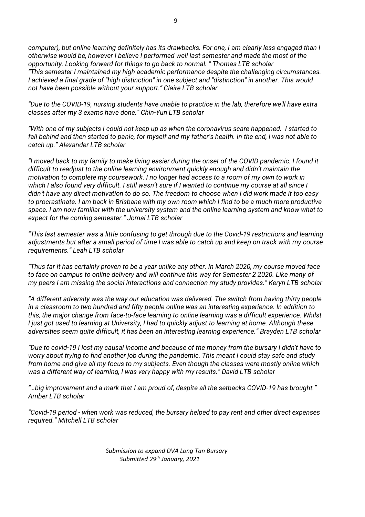*computer), but online learning definitely has its drawbacks. For one, I am clearly less engaged than I otherwise would be, however I believe I performed well last semester and made the most of the opportunity. Looking forward for things to go back to normal. " Thomas LTB scholar "This semester I maintained my high academic performance despite the challenging circumstances. I achieved a final grade of "high distinction" in one subject and "distinction" in another. This would not have been possible without your support." Claire LTB scholar*

*"Due to the COVID-19, nursing students have unable to practice in the lab, therefore we'll have extra classes after my 3 exams have done." Chin-Yun LTB scholar*

*"With one of my subjects I could not keep up as when the coronavirus scare happened. I started to fall behind and then started to panic, for myself and my father's health. In the end, I was not able to catch up." Alexander LTB scholar*

*"I moved back to my family to make living easier during the onset of the COVID pandemic. I found it difficult to readjust to the online learning environment quickly enough and didn't maintain the motivation to complete my coursework. I no longer had access to a room of my own to work in which I also found very difficult. I still wasn't sure if I wanted to continue my course at all since I didn't have any direct motivation to do so. The freedom to choose when I did work made it too easy to procrastinate. I am back in Brisbane with my own room which I find to be a much more productive space. I am now familiar with the university system and the online learning system and know what to expect for the coming semester." Jomai LTB scholar*

*"This last semester was a little confusing to get through due to the Covid-19 restrictions and learning adjustments but after a small period of time I was able to catch up and keep on track with my course requirements." Leah LTB scholar*

*"Thus far it has certainly proven to be a year unlike any other. In March 2020, my course moved face to face on campus to online delivery and will continue this way for Semester 2 2020. Like many of my peers I am missing the social interactions and connection my study provides." Keryn LTB scholar*

*"A different adversity was the way our education was delivered. The switch from having thirty people in a classroom to two hundred and fifty people online was an interesting experience. In addition to this, the major change from face-to-face learning to online learning was a difficult experience. Whilst I just got used to learning at University, I had to quickly adjust to learning at home. Although these adversities seem quite difficult, it has been an interesting learning experience." Brayden LTB scholar*

*"Due to covid-19 I lost my causal income and because of the money from the bursary I didn't have to worry about trying to find another job during the pandemic. This meant I could stay safe and study from home and give all my focus to my subjects. Even though the classes were mostly online which was a different way of learning, I was very happy with my results." David LTB scholar*

*"…big improvement and a mark that I am proud of, despite all the setbacks COVID-19 has brought." Amber LTB scholar*

*"Covid-19 period - when work was reduced, the bursary helped to pay rent and other direct expenses required." Mitchell LTB scholar*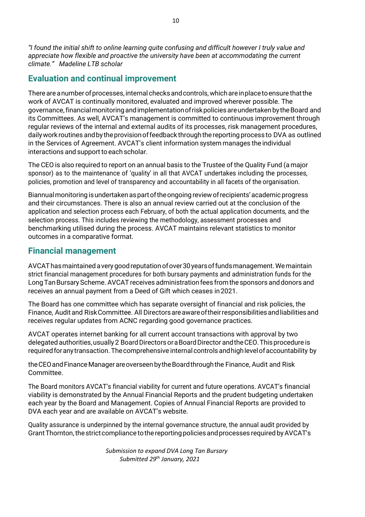*"I found the initial shift to online learning quite confusing and difficult however I truly value and appreciate how flexible and proactive the university have been at accommodating the current climate." Madeline LTB scholar*

# **Evaluation and continual improvement**

There are anumber of processes, internal checks and controls, which are inplace to ensure that the work of AVCAT is continually monitored, evaluated and improved wherever possible. The governance, financial monitoring and implementation of risk policies are undertaken by the Board and its Committees. As well, AVCAT's management is committed to continuous improvement through regular reviews of the internal and external audits of its processes, risk management procedures, daily work routines and by the provision of feedback through the reporting process to DVA as outlined in the Services of Agreement. AVCAT's client information system manages the individual interactions and support to each scholar.

The CEO is also required to report on an annual basis to the Trustee of the Quality Fund (a major sponsor) as to the maintenance of 'quality' in all that AVCAT undertakes including the processes, policies, promotion and level of transparency and accountability in all facets of the organisation.

Biannual monitoring is undertaken as part of the ongoing review of recipients' academic progress and their circumstances. There is also an annual review carried out at the conclusion of the application and selection process each February, of both the actual application documents, and the selection process. This includes reviewing the methodology, assessment processes and benchmarking utilised during the process. AVCAT maintains relevant statistics to monitor outcomes in a comparative format.

# **Financial management**

AVCAThasmaintained averygoodreputationofover30yearsoffundsmanagement.Wemaintain strict financial management procedures for both bursary payments and administration funds for the Long Tan Bursary Scheme. AVCAT receives administration fees from the sponsors and donors and receives an annual payment from a Deed of Gift which ceases in2021.

The Board has one committee which has separate oversight of financial and risk policies, the Finance, Audit and RiskCommittee. All Directorsareawareoftheirresponsibilitiesandliabilitiesand receives regular updates from ACNC regarding good governance practices.

AVCAT operates internet banking for all current account transactions with approval by two delegated authorities, usually 2 Board Directors or a Board Director and the CEO. This procedure is required for any transaction. The comprehensive internal controls and high level of accountability by

the CEO and Finance Manager are overseen by the Board through the Finance, Audit and Risk Committee.

The Board monitors AVCAT's financial viability for current and future operations. AVCAT's financial viability is demonstrated by the Annual Financial Reports and the prudent budgeting undertaken each year by the Board and Management. Copies of Annual Financial Reports are provided to DVA each year and are available on AVCAT's website.

Quality assurance is underpinned by the internal governance structure, the annual audit provided by Grant Thornton, the strict compliance to the reporting policies and processes required by AVCAT's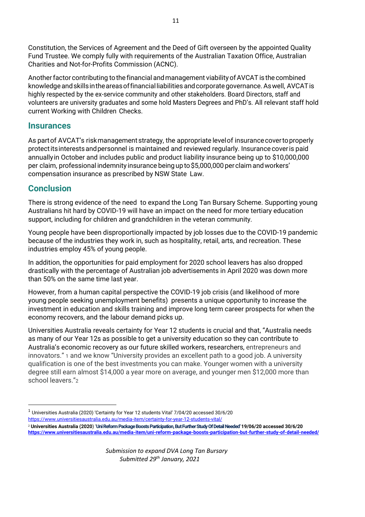Constitution, the Services of Agreement and the Deed of Gift overseen by the appointed Quality Fund Trustee. We comply fully with requirements of the Australian Taxation Office, Australian Charities and Not-for-Profits Commission (ACNC).

Another factor contributing to the financial and management viability of AVCAT is the combined knowledge andskillsintheareasoffinancialliabilities andcorporategovernance.Aswell, AVCATis highly respected by the ex-service community and other stakeholders. Board Directors, staff and volunteers are university graduates and some hold Masters Degrees and PhD's. All relevant staff hold current Working with Children Checks.

## **Insurances**

As partof AVCAT's riskmanagement strategy, the appropriate levelof insurancecovertoproperly protectitsinterestsandpersonnel is maintained and reviewed regularly. Insurance coveris paid annuallyin October and includes public and product liability insurance being up to \$10,000,000 per claim, professional indemnity insurance being up to \$5,000,000 per claim and workers' compensation insurance as prescribed by NSW State Law.

# **Conclusion**

There is strong evidence of the need to expand the Long Tan Bursary Scheme. Supporting young Australians hit hard by COVID-19 will have an impact on the need for more tertiary education support, including for children and grandchildren in the veteran community.

Young people have been disproportionally impacted by job losses due to the COVID-19 pandemic because of the industries they work in, such as hospitality, retail, arts, and recreation. These industries employ 45% of young people.

In addition, the opportunities for paid employment for 2020 school leavers has also dropped drastically with the percentage of Australian job advertisements in April 2020 was down more than 50% on the same time last year.

However, from a human capital perspective the COVID-19 job crisis (and likelihood of more young people seeking unemployment benefits) presents a unique opportunity to increase the investment in education and skills training and improve long term career prospects for when the economy recovers, and the labour demand picks up.

Universities Australia reveals certainty for Year 12 students is crucial and that, "Australia needs as many of our Year 12s as possible to get a university education so they can contribute to Australia's economic recovery as our future skilled workers, researchers, entrepreneurs and innovators." 1 and we know "University provides an excellent path to a good job. A university qualification is one of the best investments you can make. Younger women with a university degree still earn almost \$14,000 a year more on average, and younger men \$12,000 more than school leavers."2

 $^{\rm 1}$  Universities Australia (2020) 'Certainty for Year 12 students Vital' 7/04/20 accessed 30/6/20 <https://www.universitiesaustralia.edu.au/media-item/certainty-for-year-12-students-vital/>

<sup>2</sup> **Universities Australia (2020**) '**Uni Reform Package Boosts Participation, But Further Study Of Detail Needed' 19/06/20 accessed 30/6/20 <https://www.universitiesaustralia.edu.au/media-item/uni-reform-package-boosts-participation-but-further-study-of-detail-needed/>**